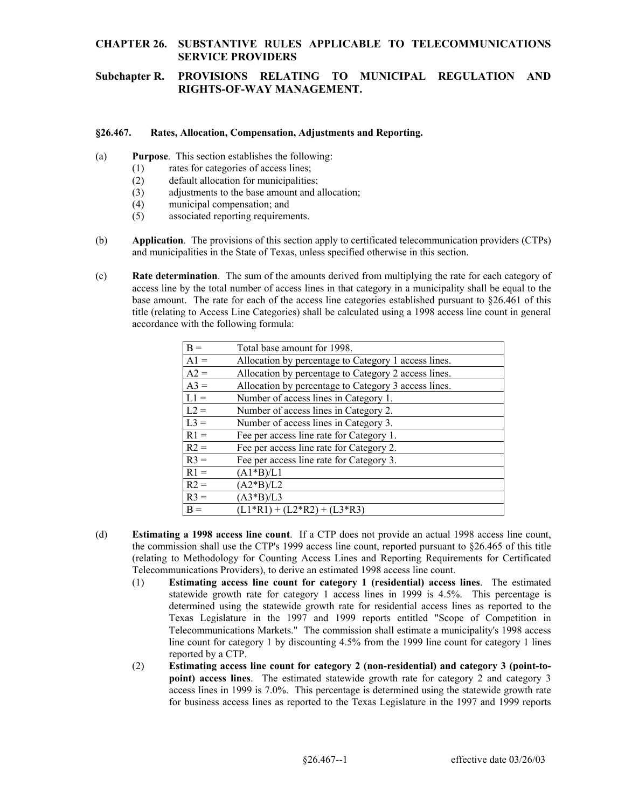## **Subchapter R. PROVISIONS RELATING TO MUNICIPAL REGULATION AND RIGHTS-OF-WAY MANAGEMENT.**

#### **§26.467. Rates, Allocation, Compensation, Adjustments and Reporting.**

- (a) **Purpose**. This section establishes the following: (1) rates for categories of access lines;
	-
	- (2) default allocation for municipalities;
	- (3) adjustments to the base amount and allocation; (4) municipal compensation; and
	-
	- (5) associated reporting requirements.
- (b) **Application**. The provisions of this section apply to certificated telecommunication providers (CTPs) and municipalities in the State of Texas, unless specified otherwise in this section.
- (c) **Rate determination**. The sum of the amounts derived from multiplying the rate for each category of access line by the total number of access lines in that category in a municipality shall be equal to the base amount. The rate for each of the access line categories established pursuant to §26.461 of this title (relating to Access Line Categories) shall be calculated using a 1998 access line count in general accordance with the following formula:

| $B =$  | Total base amount for 1998.                          |
|--------|------------------------------------------------------|
| $A1 =$ | Allocation by percentage to Category 1 access lines. |
| $A2 =$ | Allocation by percentage to Category 2 access lines. |
| $A3 =$ | Allocation by percentage to Category 3 access lines. |
| $L1 =$ | Number of access lines in Category 1.                |
| $L2 =$ | Number of access lines in Category 2.                |
| $L3 =$ | Number of access lines in Category 3.                |
| $R1 =$ | Fee per access line rate for Category 1.             |
| $R2 =$ | Fee per access line rate for Category 2.             |
| $R3 =$ | Fee per access line rate for Category 3.             |
| $R1 =$ | $(A1*B)/L1$                                          |
| $R2 =$ | $(A2*B)/L2$                                          |
| $R3 =$ | $(A3*B)/L3$                                          |
| $B =$  | $(L1*R1) + (L2*R2) + (L3*R3)$                        |

- (d) **Estimating a 1998 access line count**. If a CTP does not provide an actual 1998 access line count, the commission shall use the CTP's 1999 access line count, reported pursuant to §26.465 of this title (relating to Methodology for Counting Access Lines and Reporting Requirements for Certificated Telecommunications Providers), to derive an estimated 1998 access line count.
	- (1) **Estimating access line count for category 1 (residential) access lines**. The estimated line count for category 1 by discounting 4.5% from the 1999 line count for category 1 lines statewide growth rate for category 1 access lines in 1999 is 4.5%. This percentage is determined using the statewide growth rate for residential access lines as reported to the Texas Legislature in the 1997 and 1999 reports entitled "Scope of Competition in Telecommunications Markets." The commission shall estimate a municipality's 1998 access reported by a CTP.
	- (2) **Estimating access line count for category 2 (non-residential) and category 3 (point-topoint) access lines**. The estimated statewide growth rate for category 2 and category 3 access lines in 1999 is 7.0%. This percentage is determined using the statewide growth rate for business access lines as reported to the Texas Legislature in the 1997 and 1999 reports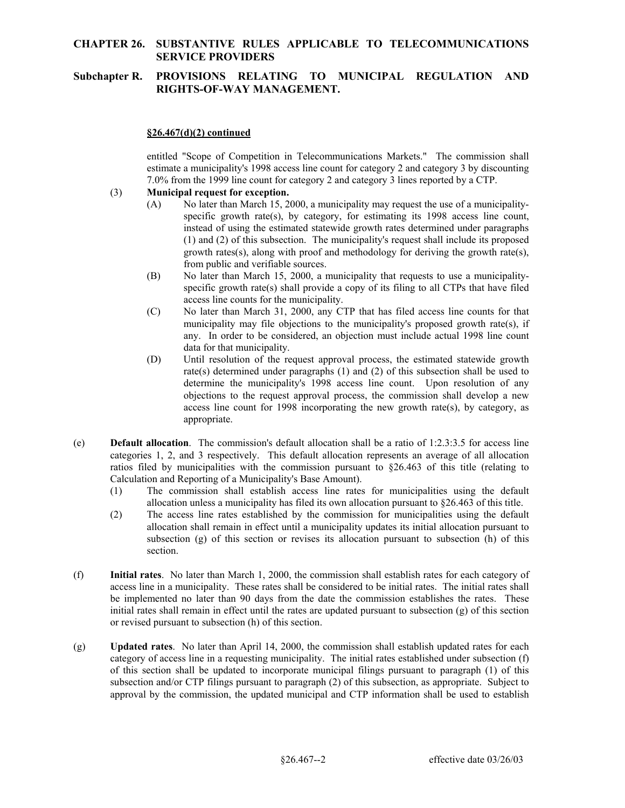# **Subchapter R. PROVISIONS RELATING TO MUNICIPAL REGULATION AND RIGHTS-OF-WAY MANAGEMENT.**

### **§26.467(d)(2) continued**

entitled "Scope of Competition in Telecommunications Markets." The commission shall estimate a municipality's 1998 access line count for category 2 and category 3 by discounting 7.0% from the 1999 line count for category 2 and category 3 lines reported by a CTP.

### (3) **Municipal request for exception.**

- (A) No later than March 15, 2000, a municipality may request the use of a municipalityspecific growth rate(s), by category, for estimating its 1998 access line count, instead of using the estimated statewide growth rates determined under paragraphs (1) and (2) of this subsection. The municipality's request shall include its proposed growth rates(s), along with proof and methodology for deriving the growth rate(s), from public and verifiable sources.
- (B) No later than March 15, 2000, a municipality that requests to use a municipalityspecific growth rate(s) shall provide a copy of its filing to all CTPs that have filed access line counts for the municipality.
- any. In order to be considered, an objection must include actual 1998 line count (C) No later than March 31, 2000, any CTP that has filed access line counts for that municipality may file objections to the municipality's proposed growth rate(s), if data for that municipality.
- (D) Until resolution of the request approval process, the estimated statewide growth rate(s) determined under paragraphs (1) and (2) of this subsection shall be used to determine the municipality's 1998 access line count. Upon resolution of any objections to the request approval process, the commission shall develop a new access line count for 1998 incorporating the new growth rate(s), by category, as appropriate.
- (e) **Default allocation**. The commission's default allocation shall be a ratio of 1:2.3:3.5 for access line categories 1, 2, and 3 respectively. This default allocation represents an average of all allocation ratios filed by municipalities with the commission pursuant to  $\S26.463$  of this title (relating to Calculation and Reporting of a Municipality's Base Amount).
	- (1) The commission shall establish access line rates for municipalities using the default allocation unless a municipality has filed its own allocation pursuant to §26.463 of this title.
	- subsection (g) of this section or revises its allocation pursuant to subsection (h) of this (2) The access line rates established by the commission for municipalities using the default allocation shall remain in effect until a municipality updates its initial allocation pursuant to section.
- be implemented no later than 90 days from the date the commission establishes the rates. These (f) **Initial rates**. No later than March 1, 2000, the commission shall establish rates for each category of access line in a municipality. These rates shall be considered to be initial rates. The initial rates shall initial rates shall remain in effect until the rates are updated pursuant to subsection (g) of this section or revised pursuant to subsection (h) of this section.
- (g) **Updated rates**. No later than April 14, 2000, the commission shall establish updated rates for each category of access line in a requesting municipality. The initial rates established under subsection (f) of this section shall be updated to incorporate municipal filings pursuant to paragraph (1) of this subsection and/or CTP filings pursuant to paragraph (2) of this subsection, as appropriate. Subject to approval by the commission, the updated municipal and CTP information shall be used to establish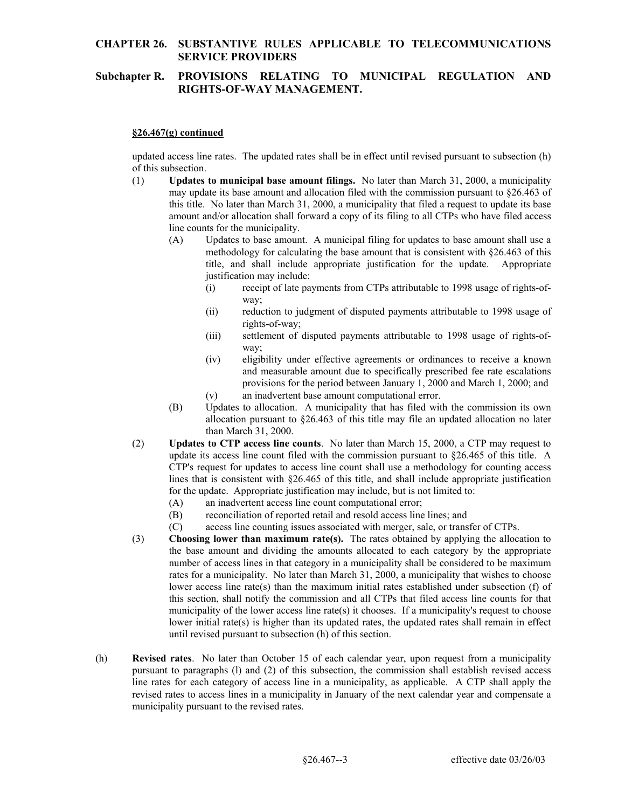# **Subchapter R. PROVISIONS RELATING TO MUNICIPAL REGULATION AND RIGHTS-OF-WAY MANAGEMENT.**

### **§26.467(g) continued**

updated access line rates. The updated rates shall be in effect until revised pursuant to subsection (h) of this subsection.

- may update its base amount and allocation filed with the commission pursuant to §26.463 of (1) **Updates to municipal base amount filings.** No later than March 31, 2000, a municipality this title. No later than March 31, 2000, a municipality that filed a request to update its base amount and/or allocation shall forward a copy of its filing to all CTPs who have filed access line counts for the municipality.
	- (A) Updates to base amount. A municipal filing for updates to base amount shall use a methodology for calculating the base amount that is consistent with §26.463 of this title, and shall include appropriate justification for the update. Appropriate justification may include:
		- (i) receipt of late payments from CTPs attributable to 1998 usage of rights-ofway;
		- (ii) reduction to judgment of disputed payments attributable to 1998 usage of rights-of-way;
		- way: (iii) settlement of disputed payments attributable to 1998 usage of rights-of-
		- and measurable amount due to specifically prescribed fee rate escalations (iv) eligibility under effective agreements or ordinances to receive a known provisions for the period between January 1, 2000 and March 1, 2000; and
		- (v) an inadvertent base amount computational error.
	- (B) Updates to allocation. A municipality that has filed with the commission its own allocation pursuant to §26.463 of this title may file an updated allocation no later than March 31, 2000.
- (2) **Updates to CTP access line counts**. No later than March 15, 2000, a CTP may request to update its access line count filed with the commission pursuant to §26.465 of this title. A CTP's request for updates to access line count shall use a methodology for counting access lines that is consistent with §26.465 of this title, and shall include appropriate justification for the update. Appropriate justification may include, but is not limited to:
	- (A) an inadvertent access line count computational error;
	- (B) reconciliation of reported retail and resold access line lines; and
	- (C) access line counting issues associated with merger, sale, or transfer of CTPs.
- (3) **Choosing lower than maximum rate(s).** The rates obtained by applying the allocation to the base amount and dividing the amounts allocated to each category by the appropriate number of access lines in that category in a municipality shall be considered to be maximum rates for a municipality. No later than March 31, 2000, a municipality that wishes to choose lower access line rate(s) than the maximum initial rates established under subsection (f) of this section, shall notify the commission and all CTPs that filed access line counts for that municipality of the lower access line rate(s) it chooses. If a municipality's request to choose lower initial rate(s) is higher than its updated rates, the updated rates shall remain in effect until revised pursuant to subsection (h) of this section.
- (h) **Revised rates**. No later than October 15 of each calendar year, upon request from a municipality pursuant to paragraphs (l) and (2) of this subsection, the commission shall establish revised access line rates for each category of access line in a municipality, as applicable. A CTP shall apply the revised rates to access lines in a municipality in January of the next calendar year and compensate a municipality pursuant to the revised rates.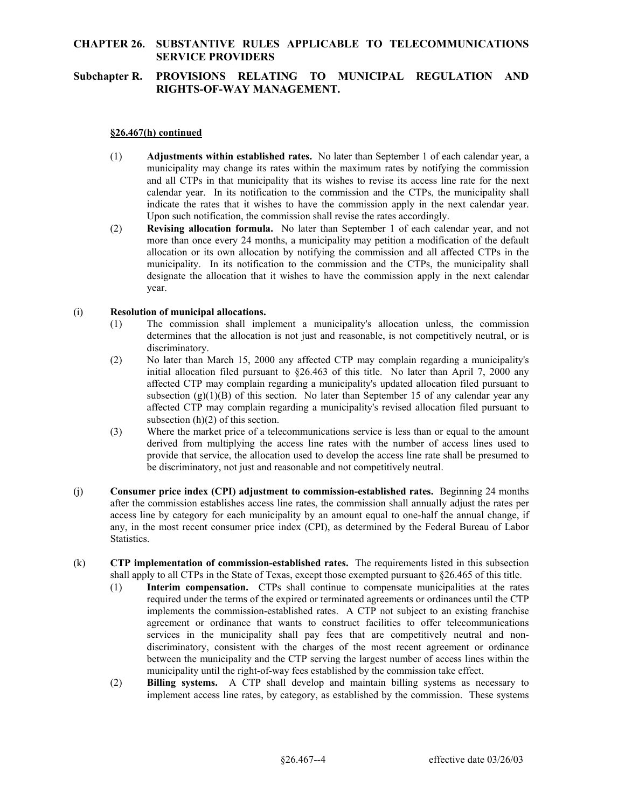# **Subchapter R. PROVISIONS RELATING TO MUNICIPAL REGULATION AND RIGHTS-OF-WAY MANAGEMENT.**

### **§26.467(h) continued**

- municipality may change its rates within the maximum rates by notifying the commission indicate the rates that it wishes to have the commission apply in the next calendar year. (1) **Adjustments within established rates.** No later than September 1 of each calendar year, a and all CTPs in that municipality that its wishes to revise its access line rate for the next calendar year. In its notification to the commission and the CTPs, the municipality shall Upon such notification, the commission shall revise the rates accordingly.
- more than once every 24 months, a municipality may petition a modification of the default (2) **Revising allocation formula.** No later than September 1 of each calendar year, and not allocation or its own allocation by notifying the commission and all affected CTPs in the municipality. In its notification to the commission and the CTPs, the municipality shall designate the allocation that it wishes to have the commission apply in the next calendar year.

#### (i) **Resolution of municipal allocations.**

- (1) The commission shall implement a municipality's allocation unless, the commission determines that the allocation is not just and reasonable, is not competitively neutral, or is discriminatory.
- (2) No later than March 15, 2000 any affected CTP may complain regarding a municipality's initial allocation filed pursuant to  $\S 26.463$  of this title. No later than April 7, 2000 any affected CTP may complain regarding a municipality's updated allocation filed pursuant to subsection  $(g)(1)(B)$  of this section. No later than September 15 of any calendar year any affected CTP may complain regarding a municipality's revised allocation filed pursuant to subsection  $(h)(2)$  of this section.
- (3) Where the market price of a telecommunications service is less than or equal to the amount derived from multiplying the access line rates with the number of access lines used to provide that service, the allocation used to develop the access line rate shall be presumed to be discriminatory, not just and reasonable and not competitively neutral.
- (j) **Consumer price index (CPI) adjustment to commission-established rates.** Beginning 24 months after the commission establishes access line rates, the commission shall annually adjust the rates per access line by category for each municipality by an amount equal to one-half the annual change, if any, in the most recent consumer price index (CPI), as determined by the Federal Bureau of Labor Statistics.
- (k) **CTP implementation of commission-established rates.** The requirements listed in this subsection shall apply to all CTPs in the State of Texas, except those exempted pursuant to §26.465 of this title.
	- (1) **Interim compensation.** CTPs shall continue to compensate municipalities at the rates required under the terms of the expired or terminated agreements or ordinances until the CTP implements the commission-established rates. A CTP not subject to an existing franchise agreement or ordinance that wants to construct facilities to offer telecommunications services in the municipality shall pay fees that are competitively neutral and nondiscriminatory, consistent with the charges of the most recent agreement or ordinance between the municipality and the CTP serving the largest number of access lines within the municipality until the right-of-way fees established by the commission take effect.
	- (2) **Billing systems.** A CTP shall develop and maintain billing systems as necessary to implement access line rates, by category, as established by the commission. These systems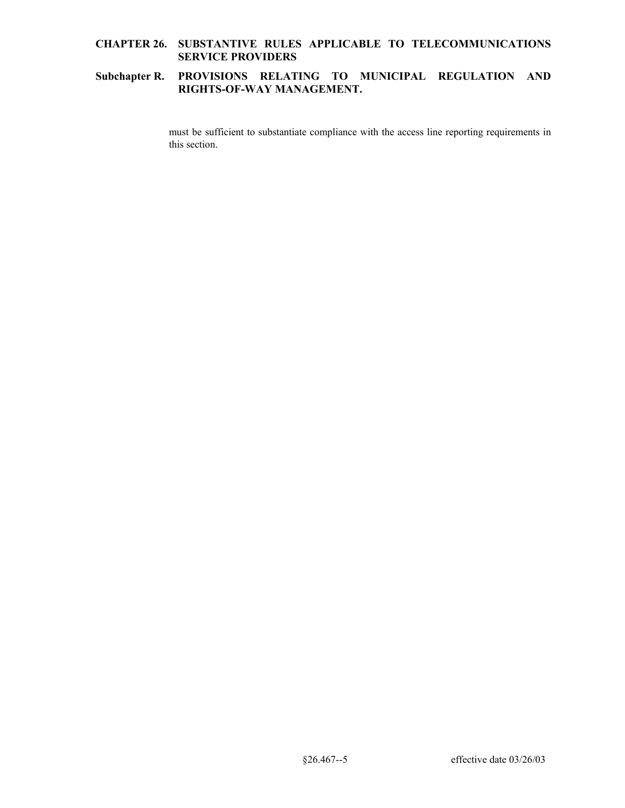# **Subchapter R. PROVISIONS RELATING TO MUNICIPAL REGULATION AND RIGHTS-OF-WAY MANAGEMENT.**

must be sufficient to substantiate compliance with the access line reporting requirements in this section.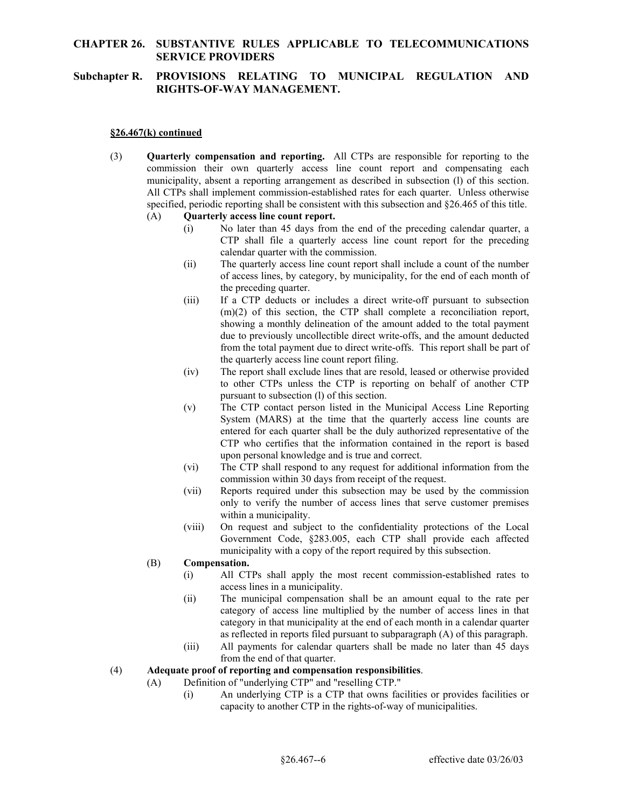# **Subchapter R. PROVISIONS RELATING TO MUNICIPAL REGULATION AND RIGHTS-OF-WAY MANAGEMENT.**

#### **§26.467(k) continued**

 municipality, absent a reporting arrangement as described in subsection (l) of this section. (3) **Quarterly compensation and reporting.** All CTPs are responsible for reporting to the commission their own quarterly access line count report and compensating each All CTPs shall implement commission-established rates for each quarter. Unless otherwise specified, periodic reporting shall be consistent with this subsection and §26.465 of this title.

#### (A) **Quarterly access line count report.**

- (i) No later than 45 days from the end of the preceding calendar quarter, a CTP shall file a quarterly access line count report for the preceding calendar quarter with the commission.
- (ii) The quarterly access line count report shall include a count of the number of access lines, by category, by municipality, for the end of each month of the preceding quarter.
- (iii) If a CTP deducts or includes a direct write-off pursuant to subsection (m)(2) of this section, the CTP shall complete a reconciliation report, showing a monthly delineation of the amount added to the total payment due to previously uncollectible direct write-offs, and the amount deducted from the total payment due to direct write-offs. This report shall be part of the quarterly access line count report filing.
- (iv) The report shall exclude lines that are resold, leased or otherwise provided to other CTPs unless the CTP is reporting on behalf of another CTP pursuant to subsection (l) of this section.
- (v) The CTP contact person listed in the Municipal Access Line Reporting System (MARS) at the time that the quarterly access line counts are entered for each quarter shall be the duly authorized representative of the CTP who certifies that the information contained in the report is based upon personal knowledge and is true and correct.
- (vi) The CTP shall respond to any request for additional information from the commission within 30 days from receipt of the request.
- (vii) Reports required under this subsection may be used by the commission only to verify the number of access lines that serve customer premises within a municipality.
- (viii) On request and subject to the confidentiality protections of the Local Government Code, §283.005, each CTP shall provide each affected municipality with a copy of the report required by this subsection.

#### (B) **Compensation.**

- (i) All CTPs shall apply the most recent commission-established rates to access lines in a municipality.
- (ii) The municipal compensation shall be an amount equal to the rate per category of access line multiplied by the number of access lines in that category in that municipality at the end of each month in a calendar quarter as reflected in reports filed pursuant to subparagraph (A) of this paragraph.
- (iii) All payments for calendar quarters shall be made no later than 45 days from the end of that quarter.

### (4) **Adequate proof of reporting and compensation responsibilities**.

- (A) Definition of "underlying CTP" and "reselling CTP."
	- (i) An underlying CTP is a CTP that owns facilities or provides facilities or capacity to another CTP in the rights-of-way of municipalities.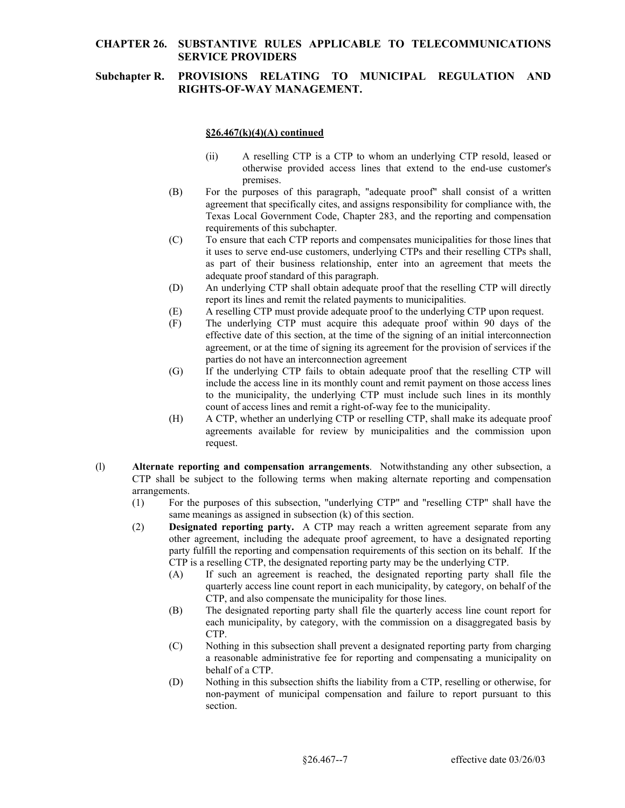# **Subchapter R. PROVISIONS RELATING TO MUNICIPAL REGULATION AND RIGHTS-OF-WAY MANAGEMENT.**

### **§26.467(k)(4)(A) continued**

- (ii) A reselling CTP is a CTP to whom an underlying CTP resold, leased or otherwise provided access lines that extend to the end-use customer's premises.
- (B) For the purposes of this paragraph, "adequate proof" shall consist of a written agreement that specifically cites, and assigns responsibility for compliance with, the Texas Local Government Code, Chapter 283, and the reporting and compensation requirements of this subchapter.
- (C) To ensure that each CTP reports and compensates municipalities for those lines that it uses to serve end-use customers, underlying CTPs and their reselling CTPs shall, as part of their business relationship, enter into an agreement that meets the adequate proof standard of this paragraph.
- (D) An underlying CTP shall obtain adequate proof that the reselling CTP will directly report its lines and remit the related payments to municipalities.
- (E) A reselling CTP must provide adequate proof to the underlying CTP upon request.
- (F) The underlying CTP must acquire this adequate proof within 90 days of the effective date of this section, at the time of the signing of an initial interconnection agreement, or at the time of signing its agreement for the provision of services if the parties do not have an interconnection agreement
- (G) If the underlying CTP fails to obtain adequate proof that the reselling CTP will include the access line in its monthly count and remit payment on those access lines to the municipality, the underlying CTP must include such lines in its monthly count of access lines and remit a right-of-way fee to the municipality.
- (H) A CTP, whether an underlying CTP or reselling CTP, shall make its adequate proof agreements available for review by municipalities and the commission upon request.
- (l) **Alternate reporting and compensation arrangements**. Notwithstanding any other subsection, a CTP shall be subject to the following terms when making alternate reporting and compensation arrangements.
	- (1) For the purposes of this subsection, "underlying CTP" and "reselling CTP" shall have the same meanings as assigned in subsection (k) of this section.
	- (2) **Designated reporting party.** A CTP may reach a written agreement separate from any other agreement, including the adequate proof agreement, to have a designated reporting party fulfill the reporting and compensation requirements of this section on its behalf. If the CTP is a reselling CTP, the designated reporting party may be the underlying CTP.
		- (A) If such an agreement is reached, the designated reporting party shall file the quarterly access line count report in each municipality, by category, on behalf of the CTP, and also compensate the municipality for those lines.
		- (B) The designated reporting party shall file the quarterly access line count report for each municipality, by category, with the commission on a disaggregated basis by CTP.
		- (C) Nothing in this subsection shall prevent a designated reporting party from charging a reasonable administrative fee for reporting and compensating a municipality on behalf of a CTP.
		- (D) Nothing in this subsection shifts the liability from a CTP, reselling or otherwise, for non-payment of municipal compensation and failure to report pursuant to this section.